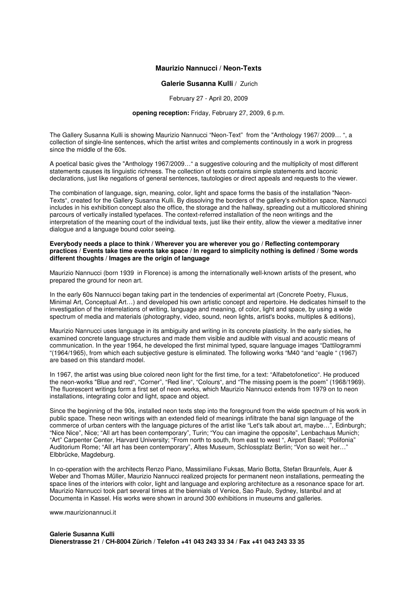## **Maurizio Nannucci / Neon-Texts**

## **Galerie Susanna Kulli** / Zurich

February 27 - April 20, 2009

## **opening reception:** Friday, February 27, 2009, 6 p.m.

The Gallery Susanna Kulli is showing Maurizio Nannucci "Neon-Text" from the "Anthology 1967/ 2009… ", a collection of single-line sentences, which the artist writes and complements continously in a work in progress since the middle of the 60s.

A poetical basic gives the "Anthology 1967/2009…" a suggestive colouring and the multiplicity of most different statements causes its linguistic richness. The collection of texts contains simple statements and laconic declarations, just like negations of general sentences, tautologies or direct appeals and requests to the viewer.

The combination of language, sign, meaning, color, light and space forms the basis of the installation "Neon-Texts", created for the Gallery Susanna Kulli. By dissolving the borders of the gallery's exhibition space, Nannucci includes in his exhibition concept also the office, the storage and the hallway, spreading out a multicolored shining parcours of vertically installed typefaces. The context-referred installation of the neon writings and the interpretation of the meaning court of the individual texts, just like their entity, allow the viewer a meditative inner dialogue and a language bound color seeing.

## **Everybody needs a place to think / Wherever you are wherever you go / Reflecting contemporary practices / Events take time events take space / In regard to simplicity nothing is defined / Some words different thoughts / Images are the origin of language**

Maurizio Nannucci (born 1939 in Florence) is among the internationally well-known artists of the present, who prepared the ground for neon art.

In the early 60s Nannucci began taking part in the tendencies of experimental art (Concrete Poetry, Fluxus, Minimal Art, Conceptual Art…) and developed his own artistic concept and repertoire. He dedicates himself to the investigation of the interrelations of writing, language and meaning, of color, light and space, by using a wide spectrum of media and materials (photography, video, sound, neon lights, artist's books, multiples & editions),

Maurizio Nannucci uses language in its ambiguity and writing in its concrete plasticity. In the early sixties, he examined concrete language structures and made them visible and audible with visual and acoustic means of communication. In the year 1964, he developed the first minimal typed, square language images "Dattilogrammi "(1964/1965), from which each subjective gesture is eliminated. The following works "M40 "and "eagle " (1967) are based on this standard model.

In 1967, the artist was using blue colored neon light for the first time, for a text: "Alfabetofonetico". He produced the neon-works "Blue and red", "Corner", "Red line", "Colours", and "The missing poem is the poem" (1968/1969). The fluorescent writings form a first set of neon works, which Maurizio Nannucci extends from 1979 on to neon installations, integrating color and light, space and object.

Since the beginning of the 90s, installed neon texts step into the foreground from the wide spectrum of his work in public space. These neon writings with an extended field of meanings infiltrate the banal sign language of the commerce of urban centers with the language pictures of the artist like "Let's talk about art, maybe…", Edinburgh; "Nice Nice", Nice; "All art has been contemporary", Turin; "You can imagine the opposite", Lenbachaus Munich; "Art" Carpenter Center, Harvard University; "From north to south, from east to west ", Airport Basel; "Polifonia" Auditorium Rome; "All art has been contemporary", Altes Museum, Schlossplatz Berlin; "Von so weit her…" Elbbrücke, Magdeburg.

In co-operation with the architects Renzo Piano, Massimiliano Fuksas, Mario Botta, Stefan Braunfels, Auer & Weber and Thomas Müller, Maurizio Nannucci realized projects for permanent neon installations, permeating the space lines of the interiors with color, light and language and exploring architecture as a resonance space for art. Maurizio Nannucci took part several times at the biennials of Venice, Sao Paulo, Sydney, Istanbul and at Documenta in Kassel. His works were shown in around 300 exhibitions in museums and galleries.

www.maurizionannuci.it